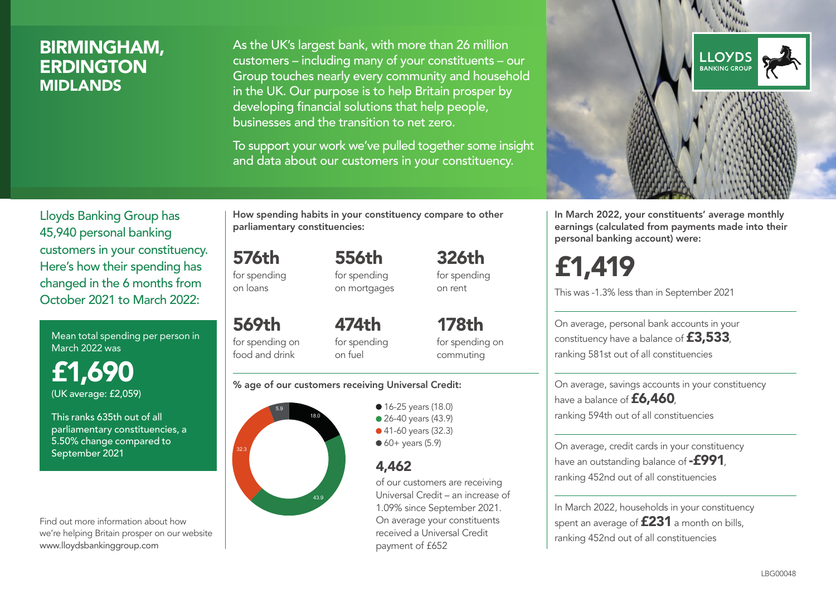# BIRMINGHAM, **ERDINGTON** MIDLANDS

As the UK's largest bank, with more than 26 million customers – including many of your constituents – our Group touches nearly every community and household in the UK. Our purpose is to help Britain prosper by developing financial solutions that help people, businesses and the transition to net zero.

To support your work we've pulled together some insight and data about our customers in your constituency.



Mean total spending per person in March 2022 was

£1,690 (UK average: £2,059)

This ranks 635th out of all parliamentary constituencies, a 5.50% change compared to September 2021

Find out more information about how we're helping Britain prosper on our website www.lloydsbankinggroup.com

How spending habits in your constituency compare to other parliamentary constituencies:

for spending 556th

576th

on loans

569th

for spending on mortgages 326th for spending on rent

for spending on food and drink 474th for spending on fuel

178th for spending on commuting

#### % age of our customers receiving Universal Credit:



• 16-25 years (18.0) • 26-40 years (43.9) ● 41-60 years (32.3)  $60+$  years (5.9)

## 4,462

of our customers are receiving Universal Credit – an increase of 1.09% since September 2021. On average your constituents received a Universal Credit payment of £652



In March 2022, your constituents' average monthly earnings (calculated from payments made into their personal banking account) were:

# £1,419

This was -1.3% less than in September 2021

On average, personal bank accounts in your constituency have a balance of £3,533, ranking 581st out of all constituencies

On average, savings accounts in your constituency have a balance of **£6,460** ranking 594th out of all constituencies

On average, credit cards in your constituency have an outstanding balance of  $-$ £991, ranking 452nd out of all constituencies

In March 2022, households in your constituency spent an average of **£231** a month on bills, ranking 452nd out of all constituencies